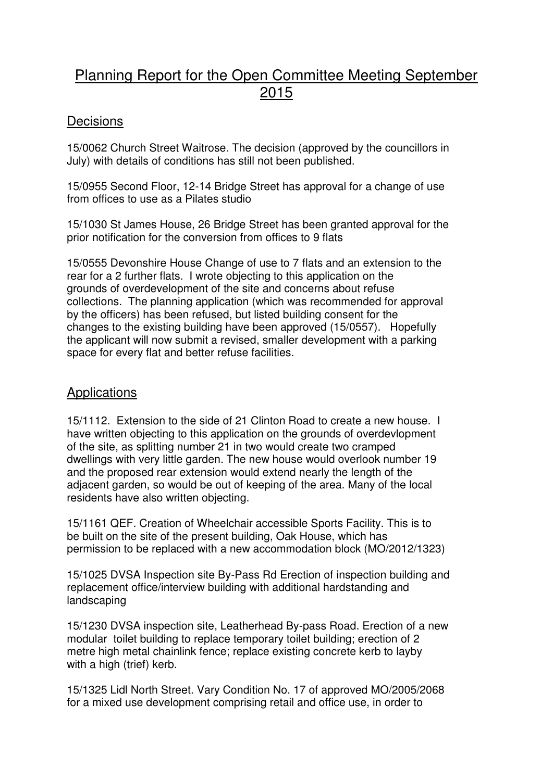# Planning Report for the Open Committee Meeting September 2015

## **Decisions**

15/0062 Church Street Waitrose. The decision (approved by the councillors in July) with details of conditions has still not been published.

15/0955 Second Floor, 12-14 Bridge Street has approval for a change of use from offices to use as a Pilates studio

15/1030 St James House, 26 Bridge Street has been granted approval for the prior notification for the conversion from offices to 9 flats

15/0555 Devonshire House Change of use to 7 flats and an extension to the rear for a 2 further flats. I wrote objecting to this application on the grounds of overdevelopment of the site and concerns about refuse collections. The planning application (which was recommended for approval by the officers) has been refused, but listed building consent for the changes to the existing building have been approved (15/0557). Hopefully the applicant will now submit a revised, smaller development with a parking space for every flat and better refuse facilities.

### **Applications**

15/1112. Extension to the side of 21 Clinton Road to create a new house. I have written objecting to this application on the grounds of overdevlopment of the site, as splitting number 21 in two would create two cramped dwellings with very little garden. The new house would overlook number 19 and the proposed rear extension would extend nearly the length of the adjacent garden, so would be out of keeping of the area. Many of the local residents have also written objecting.

15/1161 QEF. Creation of Wheelchair accessible Sports Facility. This is to be built on the site of the present building, Oak House, which has permission to be replaced with a new accommodation block (MO/2012/1323)

15/1025 DVSA Inspection site By-Pass Rd Erection of inspection building and replacement office/interview building with additional hardstanding and landscaping

15/1230 DVSA inspection site, Leatherhead By-pass Road. Erection of a new modular toilet building to replace temporary toilet building; erection of 2 metre high metal chainlink fence; replace existing concrete kerb to layby with a high (trief) kerb.

15/1325 Lidl North Street. Vary Condition No. 17 of approved MO/2005/2068 for a mixed use development comprising retail and office use, in order to